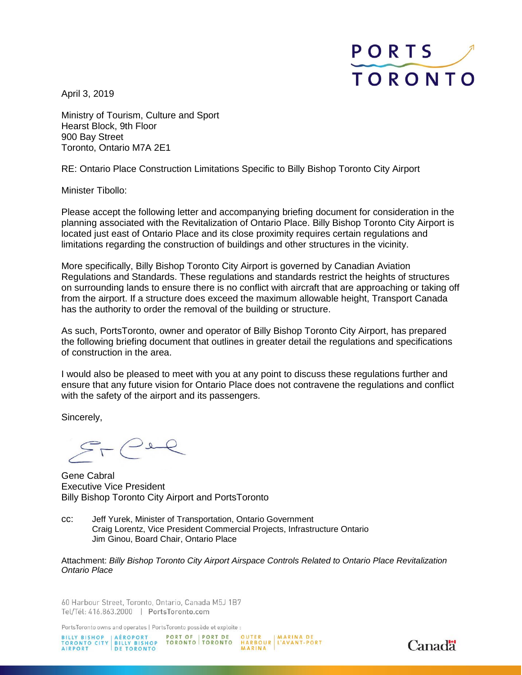

April 3, 2019

Ministry of Tourism, Culture and Sport Hearst Block, 9th Floor 900 Bay Street Toronto, Ontario M7A 2E1

RE: Ontario Place Construction Limitations Specific to Billy Bishop Toronto City Airport

Minister Tibollo:

Please accept the following letter and accompanying briefing document for consideration in the planning associated with the Revitalization of Ontario Place. Billy Bishop Toronto City Airport is located just east of Ontario Place and its close proximity requires certain regulations and limitations regarding the construction of buildings and other structures in the vicinity.

More specifically, Billy Bishop Toronto City Airport is governed by Canadian Aviation Regulations and Standards. These regulations and standards restrict the heights of structures on surrounding lands to ensure there is no conflict with aircraft that are approaching or taking off from the airport. If a structure does exceed the maximum allowable height, Transport Canada has the authority to order the removal of the building or structure.

As such, PortsToronto, owner and operator of Billy Bishop Toronto City Airport, has prepared the following briefing document that outlines in greater detail the regulations and specifications of construction in the area.

I would also be pleased to meet with you at any point to discuss these regulations further and ensure that any future vision for Ontario Place does not contravene the regulations and conflict with the safety of the airport and its passengers.

Sincerely,

Gene Cabral Executive Vice President Billy Bishop Toronto City Airport and PortsToronto

cc: Jeff Yurek, Minister of Transportation, Ontario Government Craig Lorentz, Vice President Commercial Projects, Infrastructure Ontario Jim Ginou, Board Chair, Ontario Place

Attachment: *Billy Bishop Toronto City Airport Airspace Controls Related to Ontario Place Revitalization Ontario Place*

60 Harbour Street, Toronto, Ontario, Canada M5J 1B7 Tel/Tél: 416.863.2000 | PortsToronto.com

PortsToronto owns and operates | PortsToronto possède et exploite :

BILLY BISHOP AÉROPORT PORT OF PORT DE OUTER MARINA DE<br>TORONTO CITY BILLY BISHOP TORONTO TORONTO HARBOUR L'AVANT-PORT<br>AIRPORT DE TORONTO MARINA

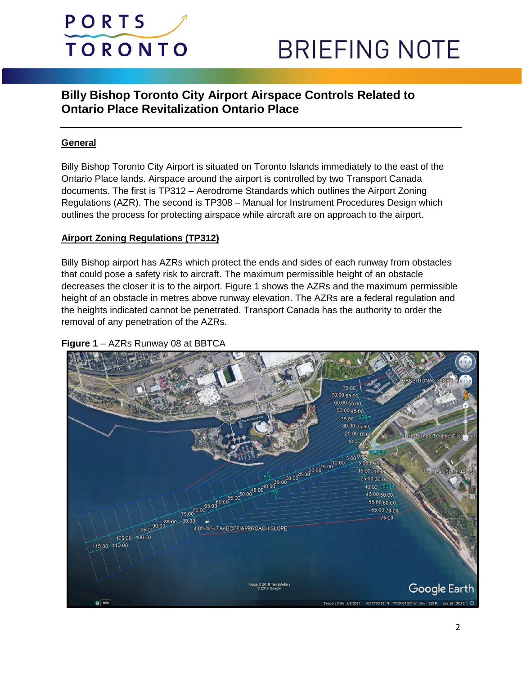

## **BRIEFING NOTE**

### **Billy Bishop Toronto City Airport Airspace Controls Related to Ontario Place Revitalization Ontario Place**

#### **General**

Billy Bishop Toronto City Airport is situated on Toronto Islands immediately to the east of the Ontario Place lands. Airspace around the airport is controlled by two Transport Canada documents. The first is TP312 – Aerodrome Standards which outlines the Airport Zoning Regulations (AZR). The second is TP308 – Manual for Instrument Procedures Design which outlines the process for protecting airspace while aircraft are on approach to the airport.

#### **Airport Zoning Regulations (TP312)**

Billy Bishop airport has AZRs which protect the ends and sides of each runway from obstacles that could pose a safety risk to aircraft. The maximum permissible height of an obstacle decreases the closer it is to the airport. Figure 1 shows the AZRs and the maximum permissible height of an obstacle in metres above runway elevation. The AZRs are a federal regulation and the heights indicated cannot be penetrated. Transport Canada has the authority to order the removal of any penetration of the AZRs.

#### **Figure 1** – AZRs Runway 08 at BBTCA

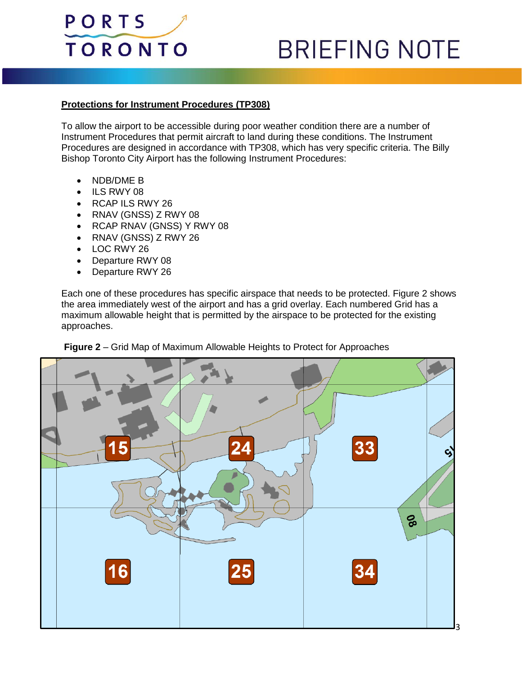

# **BRIEFING NOTE**

#### **Protections for Instrument Procedures (TP308)**

To allow the airport to be accessible during poor weather condition there are a number of Instrument Procedures that permit aircraft to land during these conditions. The Instrument Procedures are designed in accordance with TP308, which has very specific criteria. The Billy Bishop Toronto City Airport has the following Instrument Procedures:

- NDB/DME B
- ILS RWY 08
- RCAP ILS RWY 26
- RNAV (GNSS) Z RWY 08
- RCAP RNAV (GNSS) Y RWY 08
- RNAV (GNSS) Z RWY 26
- LOC RWY 26
- Departure RWY 08
- Departure RWY 26

Each one of these procedures has specific airspace that needs to be protected. Figure 2 shows the area immediately west of the airport and has a grid overlay. Each numbered Grid has a maximum allowable height that is permitted by the airspace to be protected for the existing approaches.



**Figure 2** – Grid Map of Maximum Allowable Heights to Protect for Approaches